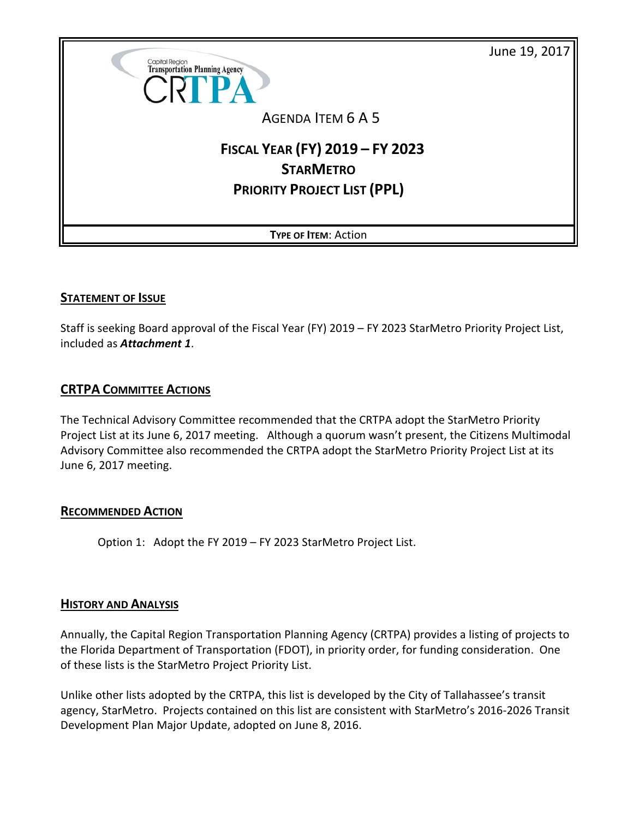June 19, 2017



## AGENDA ITEM 6 A 5

# **FISCAL YEAR (FY) 2019 – FY 2023 STARMETRO PRIORITY PROJECT LIST (PPL)**

**TYPE OF ITEM**: Action

#### **STATEMENT OF ISSUE**

Staff is seeking Board approval of the Fiscal Year (FY) 2019 – FY 2023 StarMetro Priority Project List, included as *Attachment 1*.

### **CRTPA COMMITTEE ACTIONS**

The Technical Advisory Committee recommended that the CRTPA adopt the StarMetro Priority Project List at its June 6, 2017 meeting. Although a quorum wasn't present, the Citizens Multimodal Advisory Committee also recommended the CRTPA adopt the StarMetro Priority Project List at its June 6, 2017 meeting.

#### **RECOMMENDED ACTION**

Option 1: Adopt the FY 2019 – FY 2023 StarMetro Project List.

#### **HISTORY AND ANALYSIS**

Annually, the Capital Region Transportation Planning Agency (CRTPA) provides a listing of projects to the Florida Department of Transportation (FDOT), in priority order, for funding consideration. One of these lists is the StarMetro Project Priority List.

Unlike other lists adopted by the CRTPA, this list is developed by the City of Tallahassee's transit agency, StarMetro. Projects contained on this list are consistent with StarMetro's 2016-2026 Transit Development Plan Major Update, adopted on June 8, 2016.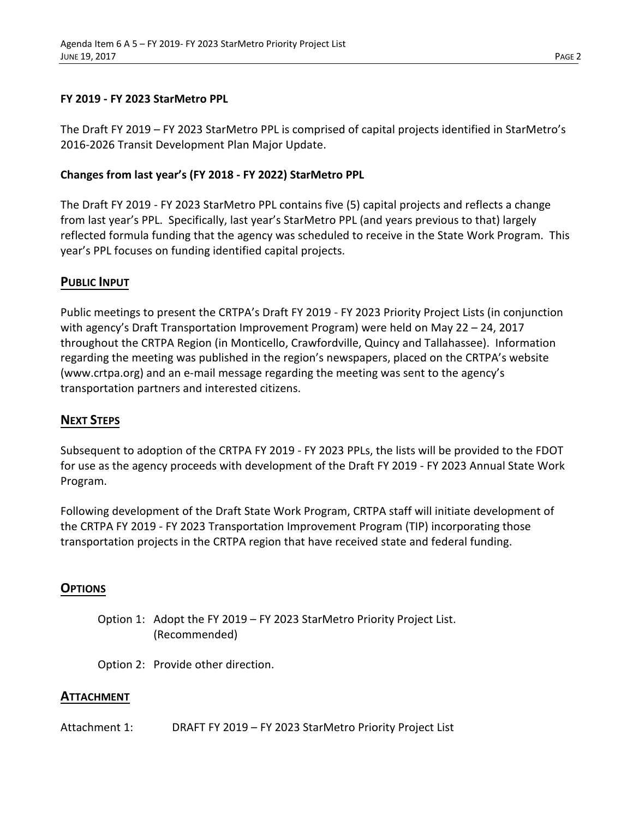#### **FY 2019 - FY 2023 StarMetro PPL**

The Draft FY 2019 – FY 2023 StarMetro PPL is comprised of capital projects identified in StarMetro's 2016-2026 Transit Development Plan Major Update.

#### **Changes from last year's (FY 2018 - FY 2022) StarMetro PPL**

The Draft FY 2019 - FY 2023 StarMetro PPL contains five (5) capital projects and reflects a change from last year's PPL. Specifically, last year's StarMetro PPL (and years previous to that) largely reflected formula funding that the agency was scheduled to receive in the State Work Program. This year's PPL focuses on funding identified capital projects.

#### **PUBLIC INPUT**

Public meetings to present the CRTPA's Draft FY 2019 - FY 2023 Priority Project Lists (in conjunction with agency's Draft Transportation Improvement Program) were held on May 22 – 24, 2017 throughout the CRTPA Region (in Monticello, Crawfordville, Quincy and Tallahassee). Information regarding the meeting was published in the region's newspapers, placed on the CRTPA's website (www.crtpa.org) and an e-mail message regarding the meeting was sent to the agency's transportation partners and interested citizens.

### **NEXT STEPS**

Subsequent to adoption of the CRTPA FY 2019 - FY 2023 PPLs, the lists will be provided to the FDOT for use as the agency proceeds with development of the Draft FY 2019 - FY 2023 Annual State Work Program.

Following development of the Draft State Work Program, CRTPA staff will initiate development of the CRTPA FY 2019 - FY 2023 Transportation Improvement Program (TIP) incorporating those transportation projects in the CRTPA region that have received state and federal funding.

#### **OPTIONS**

- Option 1: Adopt the FY 2019 FY 2023 StarMetro Priority Project List. (Recommended)
- Option 2: Provide other direction.

#### **ATTACHMENT**

Attachment 1: DRAFT FY 2019 – FY 2023 StarMetro Priority Project List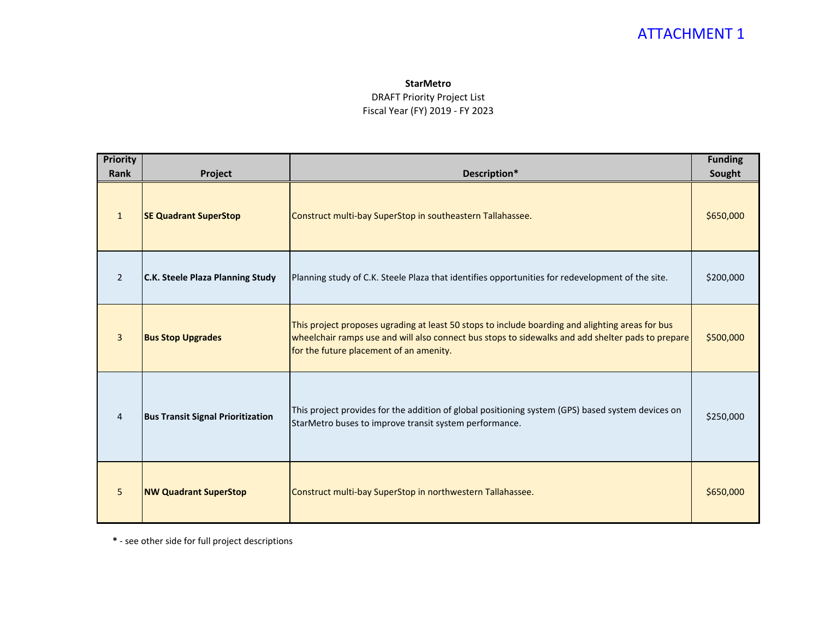## ATTACHMENT 1

#### **StarMetro**

#### DRAFT Priority Project List Fiscal Year (FY) 2019 - FY 2023

| <b>Priority</b><br><b>Rank</b> | Project                                  | Description*                                                                                                                                                                                                                                     | <b>Funding</b><br>Sought |
|--------------------------------|------------------------------------------|--------------------------------------------------------------------------------------------------------------------------------------------------------------------------------------------------------------------------------------------------|--------------------------|
| $\mathbf{1}$                   | <b>SE Quadrant SuperStop</b>             | Construct multi-bay SuperStop in southeastern Tallahassee.                                                                                                                                                                                       | \$650,000                |
| $\overline{2}$                 | <b>C.K. Steele Plaza Planning Study</b>  | Planning study of C.K. Steele Plaza that identifies opportunities for redevelopment of the site.                                                                                                                                                 | \$200,000                |
| $\overline{3}$                 | <b>Bus Stop Upgrades</b>                 | This project proposes ugrading at least 50 stops to include boarding and alighting areas for bus<br>wheelchair ramps use and will also connect bus stops to sidewalks and add shelter pads to prepare<br>for the future placement of an amenity. | \$500,000                |
| $\overline{4}$                 | <b>Bus Transit Signal Prioritization</b> | This project provides for the addition of global positioning system (GPS) based system devices on<br>StarMetro buses to improve transit system performance.                                                                                      | \$250,000                |
| 5 <sup>5</sup>                 | <b>NW Quadrant SuperStop</b>             | Construct multi-bay SuperStop in northwestern Tallahassee.                                                                                                                                                                                       | \$650,000                |

**\*** - see other side for full project descriptions